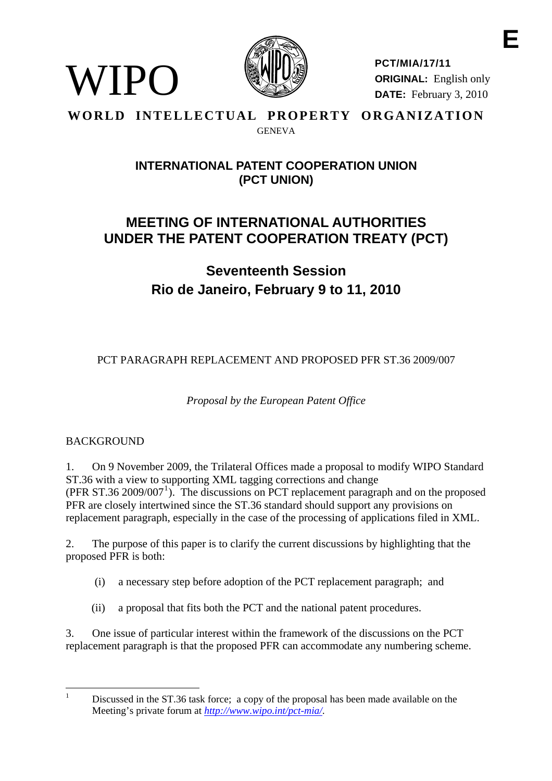

**PCT/MIA/17/11 ORIGINAL:** English only **DATE:** February 3, 2010

**E** 

#### **WORLD INTELLECTUAL PROPERTY ORGANIZATION GENEVA**

# **INTERNATIONAL PATENT COOPERATION UNION (PCT UNION)**

# **MEETING OF INTERNATIONAL AUTHORITIES UNDER THE PATENT COOPERATION TREATY (PCT)**

**Seventeenth Session Rio de Janeiro, February 9 to 11, 2010** 

PCT PARAGRAPH REPLACEMENT AND PROPOSED PFR ST.36 2009/007

*Proposal by the European Patent Office* 

# BACKGROUND

WIPO

1. On 9 November 2009, the Trilateral Offices made a proposal to modify WIPO Standard ST.36 with a view to supporting XML tagging corrections and change  $(PFR ST.36 2009/007<sup>1</sup>)$  $(PFR ST.36 2009/007<sup>1</sup>)$  $(PFR ST.36 2009/007<sup>1</sup>)$ . The discussions on PCT replacement paragraph and on the proposed PFR are closely intertwined since the ST.36 standard should support any provisions on replacement paragraph, especially in the case of the processing of applications filed in XML.

2. The purpose of this paper is to clarify the current discussions by highlighting that the proposed PFR is both:

- (i) a necessary step before adoption of the PCT replacement paragraph; and
- (ii) a proposal that fits both the PCT and the national patent procedures.

3. One issue of particular interest within the framework of the discussions on the PCT replacement paragraph is that the proposed PFR can accommodate any numbering scheme.

<span id="page-0-0"></span> $\frac{1}{1}$ 

Discussed in the ST.36 task force; a copy of the proposal has been made available on the Meeting's private forum at *<http://www.wipo.int/pct-mia/>*.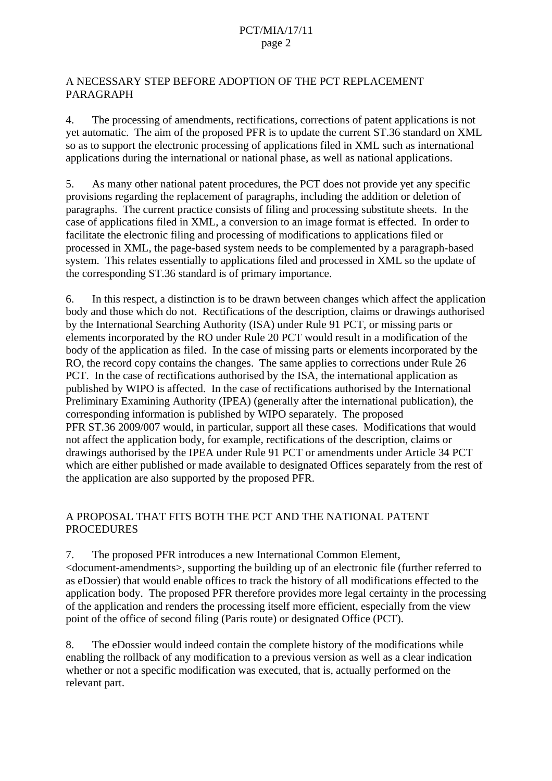#### A NECESSARY STEP BEFORE ADOPTION OF THE PCT REPLACEMENT PARAGRAPH

4. The processing of amendments, rectifications, corrections of patent applications is not yet automatic. The aim of the proposed PFR is to update the current ST.36 standard on XML so as to support the electronic processing of applications filed in XML such as international applications during the international or national phase, as well as national applications.

5. As many other national patent procedures, the PCT does not provide yet any specific provisions regarding the replacement of paragraphs, including the addition or deletion of paragraphs. The current practice consists of filing and processing substitute sheets. In the case of applications filed in XML, a conversion to an image format is effected. In order to facilitate the electronic filing and processing of modifications to applications filed or processed in XML, the page-based system needs to be complemented by a paragraph-based system. This relates essentially to applications filed and processed in XML so the update of the corresponding ST.36 standard is of primary importance.

6. In this respect, a distinction is to be drawn between changes which affect the application body and those which do not. Rectifications of the description, claims or drawings authorised by the International Searching Authority (ISA) under Rule 91 PCT, or missing parts or elements incorporated by the RO under Rule 20 PCT would result in a modification of the body of the application as filed. In the case of missing parts or elements incorporated by the RO, the record copy contains the changes. The same applies to corrections under Rule 26 PCT. In the case of rectifications authorised by the ISA, the international application as published by WIPO is affected. In the case of rectifications authorised by the International Preliminary Examining Authority (IPEA) (generally after the international publication), the corresponding information is published by WIPO separately. The proposed PFR ST.36 2009/007 would, in particular, support all these cases. Modifications that would not affect the application body, for example, rectifications of the description, claims or drawings authorised by the IPEA under Rule 91 PCT or amendments under Article 34 PCT which are either published or made available to designated Offices separately from the rest of the application are also supported by the proposed PFR.

#### A PROPOSAL THAT FITS BOTH THE PCT AND THE NATIONAL PATENT **PROCEDURES**

7. The proposed PFR introduces a new International Common Element, <document-amendments>, supporting the building up of an electronic file (further referred to as eDossier) that would enable offices to track the history of all modifications effected to the application body. The proposed PFR therefore provides more legal certainty in the processing of the application and renders the processing itself more efficient, especially from the view point of the office of second filing (Paris route) or designated Office (PCT).

8. The eDossier would indeed contain the complete history of the modifications while enabling the rollback of any modification to a previous version as well as a clear indication whether or not a specific modification was executed, that is, actually performed on the relevant part.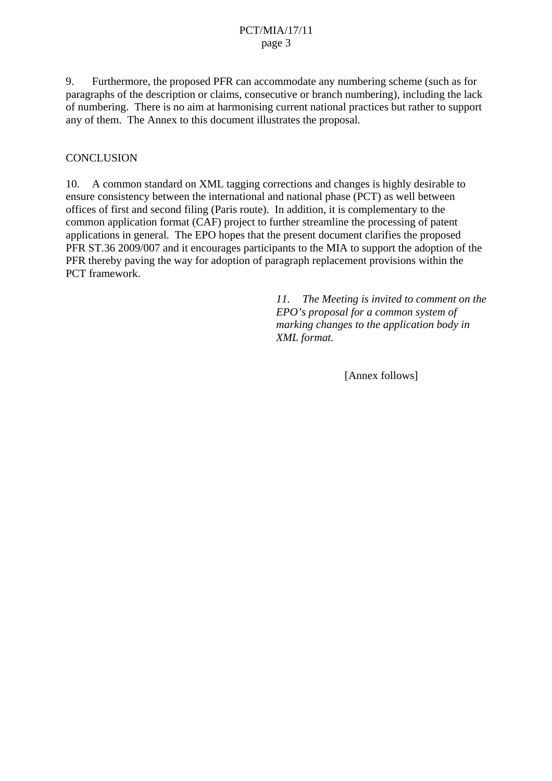#### PCT/MIA/17/11 page 3

9. Furthermore, the proposed PFR can accommodate any numbering scheme (such as for paragraphs of the description or claims, consecutive or branch numbering), including the lack of numbering. There is no aim at harmonising current national practices but rather to support any of them. The Annex to this document illustrates the proposal.

#### **CONCLUSION**

10. A common standard on XML tagging corrections and changes is highly desirable to ensure consistency between the international and national phase (PCT) as well between offices of first and second filing (Paris route). In addition, it is complementary to the common application format (CAF) project to further streamline the processing of patent applications in general. The EPO hopes that the present document clarifies the proposed PFR ST.36 2009/007 and it encourages participants to the MIA to support the adoption of the PFR thereby paving the way for adoption of paragraph replacement provisions within the PCT framework.

> *11. The Meeting is invited to comment on the EPO's proposal for a common system of marking changes to the application body in XML format.*

> > [Annex follows]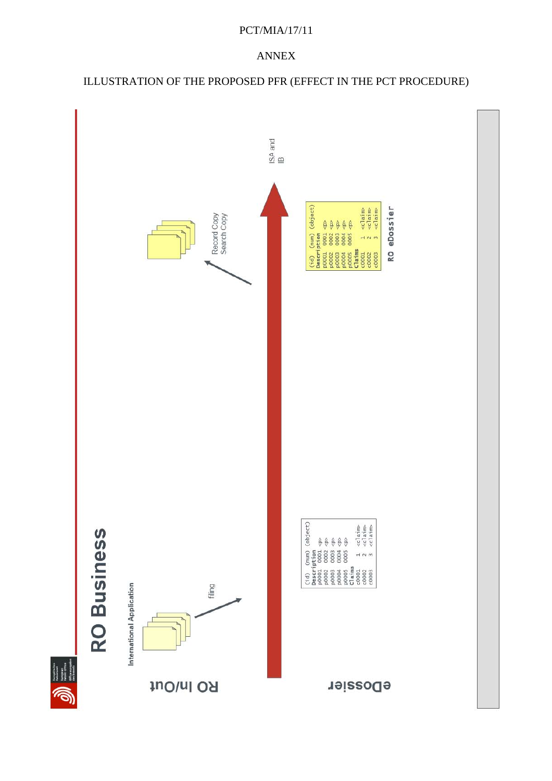#### PCT/MIA/17/11

## ANNEX

# ILLUSTRATION OF THE PROPOSED PFR (EFFECT IN THE PCT PROCEDURE)

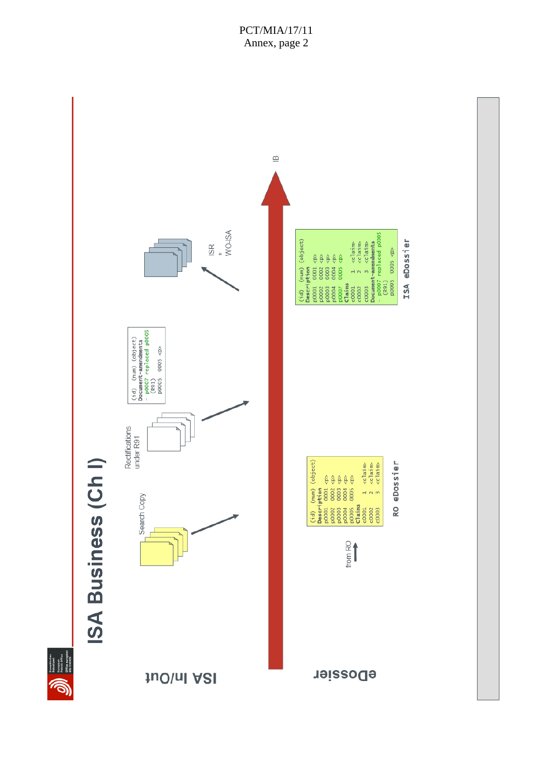#### PCT/MIA/17/11 Annex, page 2

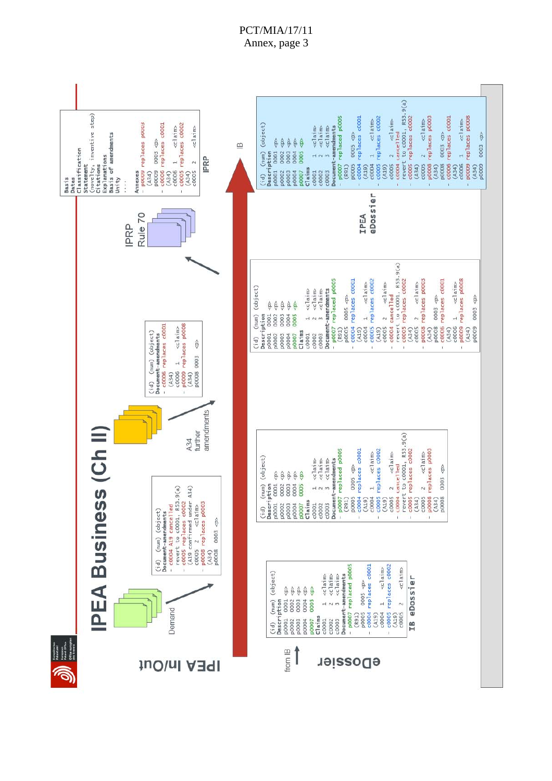## PCT/MIA/17/11 Annex, page 3

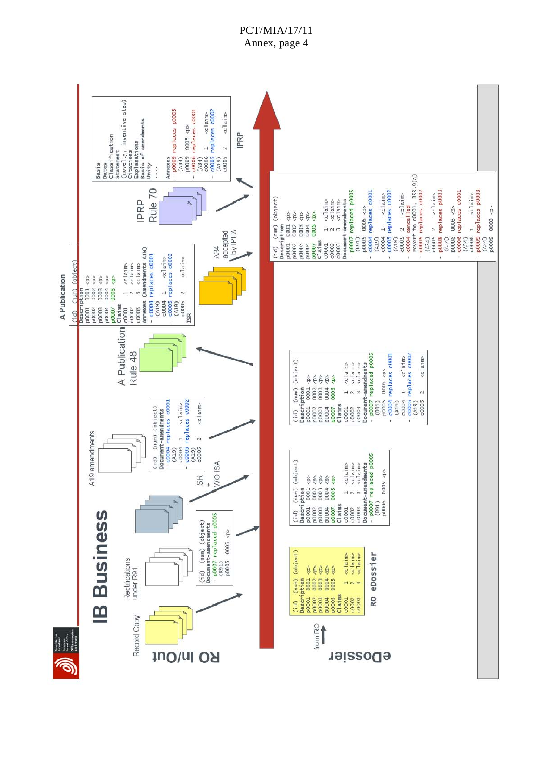



# PCT/MIA/17/11